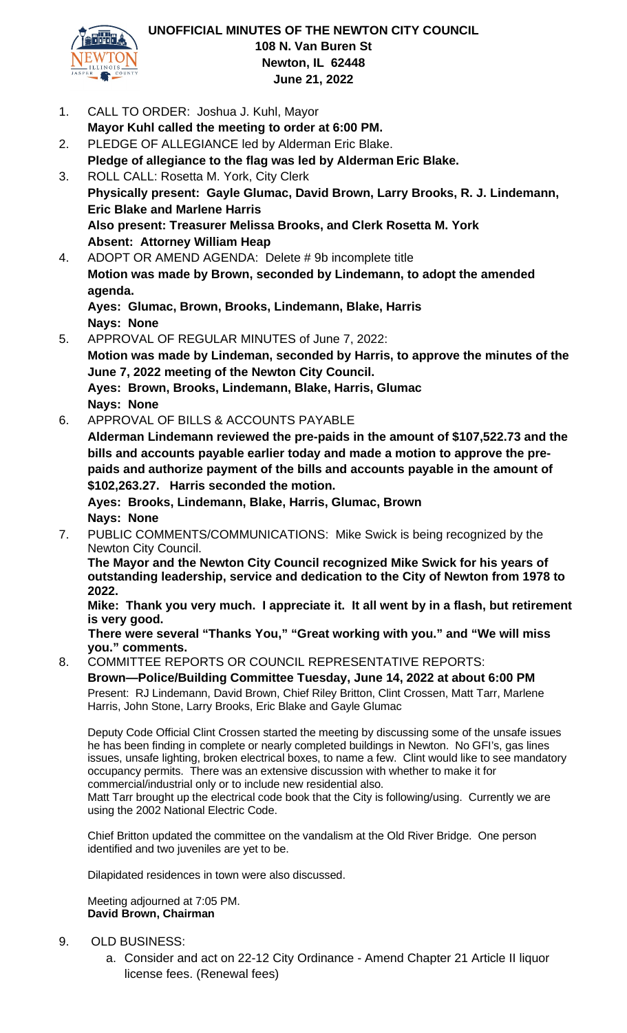

- 1. CALL TO ORDER: Joshua J. Kuhl, Mayor **Mayor Kuhl called the meeting to order at 6:00 PM.** 2. PLEDGE OF ALLEGIANCE led by Alderman Eric Blake. **Pledge of allegiance to the flag was led by Alderman Eric Blake.** 3. ROLL CALL: Rosetta M. York, City Clerk
- **Physically present: Gayle Glumac, David Brown, Larry Brooks, R. J. Lindemann, Eric Blake and Marlene Harris Also present: Treasurer Melissa Brooks, and Clerk Rosetta M. York Absent: Attorney William Heap**
- 4. ADOPT OR AMEND AGENDA: Delete # 9b incomplete title **Motion was made by Brown, seconded by Lindemann, to adopt the amended agenda. Ayes: Glumac, Brown, Brooks, Lindemann, Blake, Harris Nays: None**
- 5. APPROVAL OF REGULAR MINUTES of June 7, 2022: **Motion was made by Lindeman, seconded by Harris, to approve the minutes of the June 7, 2022 meeting of the Newton City Council. Ayes: Brown, Brooks, Lindemann, Blake, Harris, Glumac Nays: None**
- 6. APPROVAL OF BILLS & ACCOUNTS PAYABLE

**Alderman Lindemann reviewed the pre-paids in the amount of \$107,522.73 and the bills and accounts payable earlier today and made a motion to approve the prepaids and authorize payment of the bills and accounts payable in the amount of \$102,263.27. Harris seconded the motion.**

**Ayes: Brooks, Lindemann, Blake, Harris, Glumac, Brown Nays: None** 

7. PUBLIC COMMENTS/COMMUNICATIONS: Mike Swick is being recognized by the Newton City Council.

**The Mayor and the Newton City Council recognized Mike Swick for his years of outstanding leadership, service and dedication to the City of Newton from 1978 to 2022.**

**Mike: Thank you very much. I appreciate it. It all went by in a flash, but retirement is very good.**

**There were several "Thanks You," "Great working with you." and "We will miss you." comments.**

8. COMMITTEE REPORTS OR COUNCIL REPRESENTATIVE REPORTS: **Brown—Police/Building Committee Tuesday, June 14, 2022 at about 6:00 PM** Present: RJ Lindemann, David Brown, Chief Riley Britton, Clint Crossen, Matt Tarr, Marlene Harris, John Stone, Larry Brooks, Eric Blake and Gayle Glumac

Deputy Code Official Clint Crossen started the meeting by discussing some of the unsafe issues he has been finding in complete or nearly completed buildings in Newton. No GFI's, gas lines issues, unsafe lighting, broken electrical boxes, to name a few. Clint would like to see mandatory occupancy permits. There was an extensive discussion with whether to make it for commercial/industrial only or to include new residential also.

Matt Tarr brought up the electrical code book that the City is following/using. Currently we are using the 2002 National Electric Code.

Chief Britton updated the committee on the vandalism at the Old River Bridge. One person identified and two juveniles are yet to be.

Dilapidated residences in town were also discussed.

Meeting adjourned at 7:05 PM. **David Brown, Chairman**

- 9. OLD BUSINESS:
	- a. Consider and act on 22-12 City Ordinance Amend Chapter 21 Article II liquor license fees. (Renewal fees)